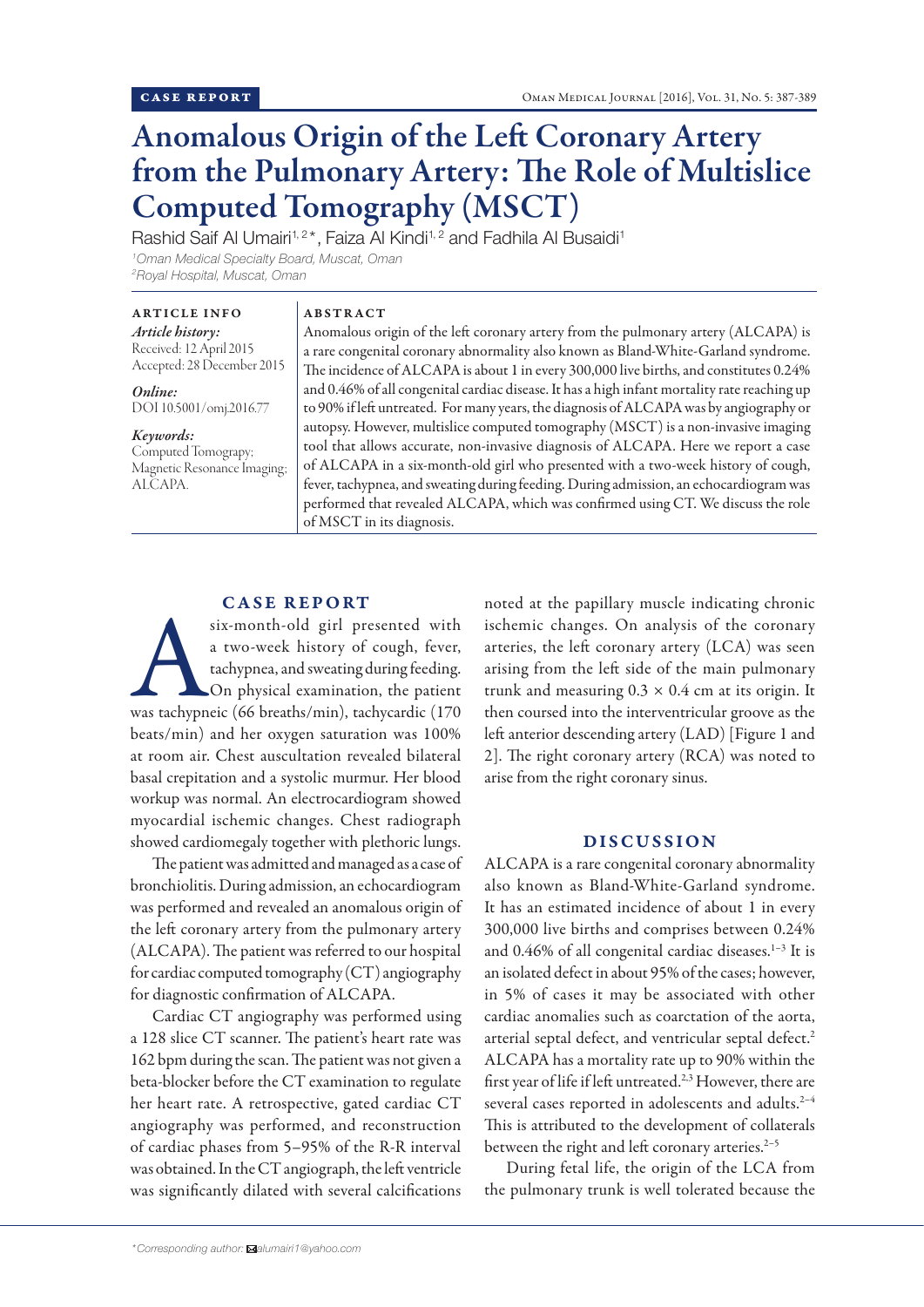# Anomalous Origin of the Left Coronary Artery from the Pulmonary Artery: The Role of Multislice Computed Tomography (MSCT)

Rashid Saif Al Umairi<sup>1,2\*</sup>, Faiza Al Kindi<sup>1,2</sup> and Fadhila Al Busaidi<sup>1</sup> *1 Oman Medical Specialty Board, Muscat, Oman 2 Royal Hospital, Muscat, Oman*

## ARTICLE INFO

*Article history:* Received: 12 April 2015 Accepted: 28 December 2015

*Online:* DOI 10.5001/omj.2016.77

## *Keywords:*

Computed Tomograpy; Magnetic Resonance Imaging; ALCAPA.

# ABSTRACT

Anomalous origin of the left coronary artery from the pulmonary artery (ALCAPA) is a rare congenital coronary abnormality also known as Bland-White-Garland syndrome. The incidence of ALCAPA is about 1 in every 300,000 live births, and constitutes 0.24% and 0.46% of all congenital cardiac disease. It has a high infant mortality rate reaching up to 90% if left untreated. For many years, the diagnosis of ALCAPA was by angiography or autopsy. However, multislice computed tomography (MSCT) is a non-invasive imaging tool that allows accurate, non-invasive diagnosis of ALCAPA. Here we report a case of ALCAPA in a six-month-old girl who presented with a two-week history of cough, fever, tachypnea, and sweating during feeding. During admission, an echocardiogram was performed that revealed ALCAPA, which was confirmed using CT. We discuss the role of MSCT in its diagnosis.

# **CASE REPORT**

six-month-old girl presented with<br>
a two-week history of cough, fever,<br>
tachypnea, and sweating during feeding.<br>
On physical examination, the patient<br>
was tachypneic (66 breaths/min), tachycardic (170 a two-week history of cough, fever, tachypnea, and sweating during feeding. On physical examination, the patient beats/min) and her oxygen saturation was 100% at room air. Chest auscultation revealed bilateral basal crepitation and a systolic murmur. Her blood workup was normal. An electrocardiogram showed myocardial ischemic changes. Chest radiograph showed cardiomegaly together with plethoric lungs.

The patient was admitted and managed as a case of bronchiolitis. During admission, an echocardiogram was performed and revealed an anomalous origin of the left coronary artery from the pulmonary artery (ALCAPA). The patient was referred to our hospital for cardiac computed tomography (CT) angiography for diagnostic confirmation of ALCAPA.

Cardiac CT angiography was performed using a 128 slice CT scanner. The patient's heart rate was 162 bpm during the scan. The patient was not given a beta-blocker before the CT examination to regulate her heart rate. A retrospective, gated cardiac CT angiography was performed, and reconstruction of cardiac phases from 5–95% of the R-R interval was obtained. In the CT angiograph, the left ventricle was significantly dilated with several calcifications

noted at the papillary muscle indicating chronic ischemic changes. On analysis of the coronary arteries, the left coronary artery (LCA) was seen arising from the left side of the main pulmonary trunk and measuring  $0.3 \times 0.4$  cm at its origin. It then coursed into the interventricular groove as the left anterior descending artery (LAD) [Figure 1 and 2]. The right coronary artery (RCA) was noted to arise from the right coronary sinus.

## DISCUSSION

ALCAPA is a rare congenital coronary abnormality also known as Bland-White-Garland syndrome. It has an estimated incidence of about 1 in every 300,000 live births and comprises between 0.24% and 0.46% of all congenital cardiac diseases.<sup>1-3</sup> It is an isolated defect in about 95% of the cases; however, in 5% of cases it may be associated with other cardiac anomalies such as coarctation of the aorta, arterial septal defect, and ventricular septal defect.<sup>2</sup> ALCAPA has a mortality rate up to 90% within the first year of life if left untreated.2,3 However, there are several cases reported in adolescents and adults.<sup>2-4</sup> This is attributed to the development of collaterals between the right and left coronary arteries.<sup>2-5</sup>

During fetal life, the origin of the LCA from the pulmonary trunk is well tolerated because the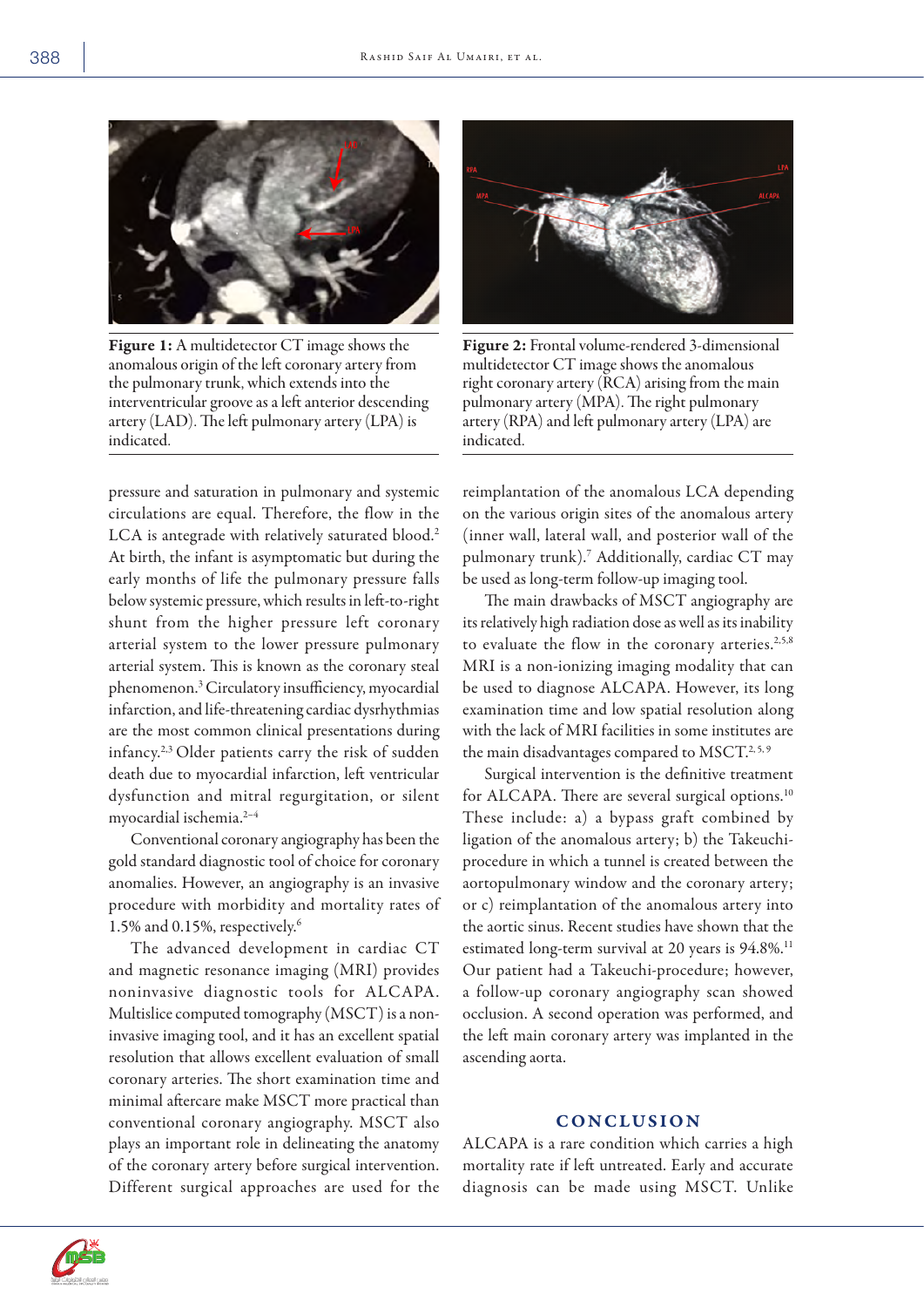

Figure 1: A multidetector CT image shows the anomalous origin of the left coronary artery from the pulmonary trunk, which extends into the interventricular groove as a left anterior descending artery (LAD). The left pulmonary artery (LPA) is indicated.

pressure and saturation in pulmonary and systemic circulations are equal. Therefore, the flow in the LCA is antegrade with relatively saturated blood.<sup>2</sup> At birth, the infant is asymptomatic but during the early months of life the pulmonary pressure falls below systemic pressure, which results in left-to-right shunt from the higher pressure left coronary arterial system to the lower pressure pulmonary arterial system. This is known as the coronary steal phenomenon.3 Circulatory insufficiency, myocardial infarction, and life-threatening cardiac dysrhythmias are the most common clinical presentations during infancy.2,3 Older patients carry the risk of sudden death due to myocardial infarction, left ventricular dysfunction and mitral regurgitation, or silent myocardial ischemia.2–4

Conventional coronary angiography has been the gold standard diagnostic tool of choice for coronary anomalies. However, an angiography is an invasive procedure with morbidity and mortality rates of 1.5% and 0.15%, respectively.6

The advanced development in cardiac CT and magnetic resonance imaging (MRI) provides noninvasive diagnostic tools for ALCAPA. Multislice computed tomography (MSCT) is a noninvasive imaging tool, and it has an excellent spatial resolution that allows excellent evaluation of small coronary arteries. The short examination time and minimal aftercare make MSCT more practical than conventional coronary angiography. MSCT also plays an important role in delineating the anatomy of the coronary artery before surgical intervention. Different surgical approaches are used for the



Figure 2: Frontal volume-rendered 3-dimensional multidetector CT image shows the anomalous right coronary artery (RCA) arising from the main pulmonary artery (MPA). The right pulmonary artery (RPA) and left pulmonary artery (LPA) are indicated.

reimplantation of the anomalous LCA depending on the various origin sites of the anomalous artery (inner wall, lateral wall, and posterior wall of the pulmonary trunk).7 Additionally, cardiac CT may be used as long-term follow-up imaging tool.

The main drawbacks of MSCT angiography are its relatively high radiation dose as well as its inability to evaluate the flow in the coronary arteries.<sup>2,5,8</sup> MRI is a non-ionizing imaging modality that can be used to diagnose ALCAPA. However, its long examination time and low spatial resolution along with the lack of MRI facilities in some institutes are the main disadvantages compared to MSCT.<sup>2, 5, 9</sup>

Surgical intervention is the definitive treatment for ALCAPA. There are several surgical options.<sup>10</sup> These include: a) a bypass graft combined by ligation of the anomalous artery; b) the Takeuchiprocedure in which a tunnel is created between the aortopulmonary window and the coronary artery; or c) reimplantation of the anomalous artery into the aortic sinus. Recent studies have shown that the estimated long-term survival at 20 years is 94.8%.<sup>11</sup> Our patient had a Takeuchi-procedure; however, a follow-up coronary angiography scan showed occlusion. A second operation was performed, and the left main coronary artery was implanted in the ascending aorta.

# **CONCLUSION**

ALCAPA is a rare condition which carries a high mortality rate if left untreated. Early and accurate diagnosis can be made using MSCT. Unlike